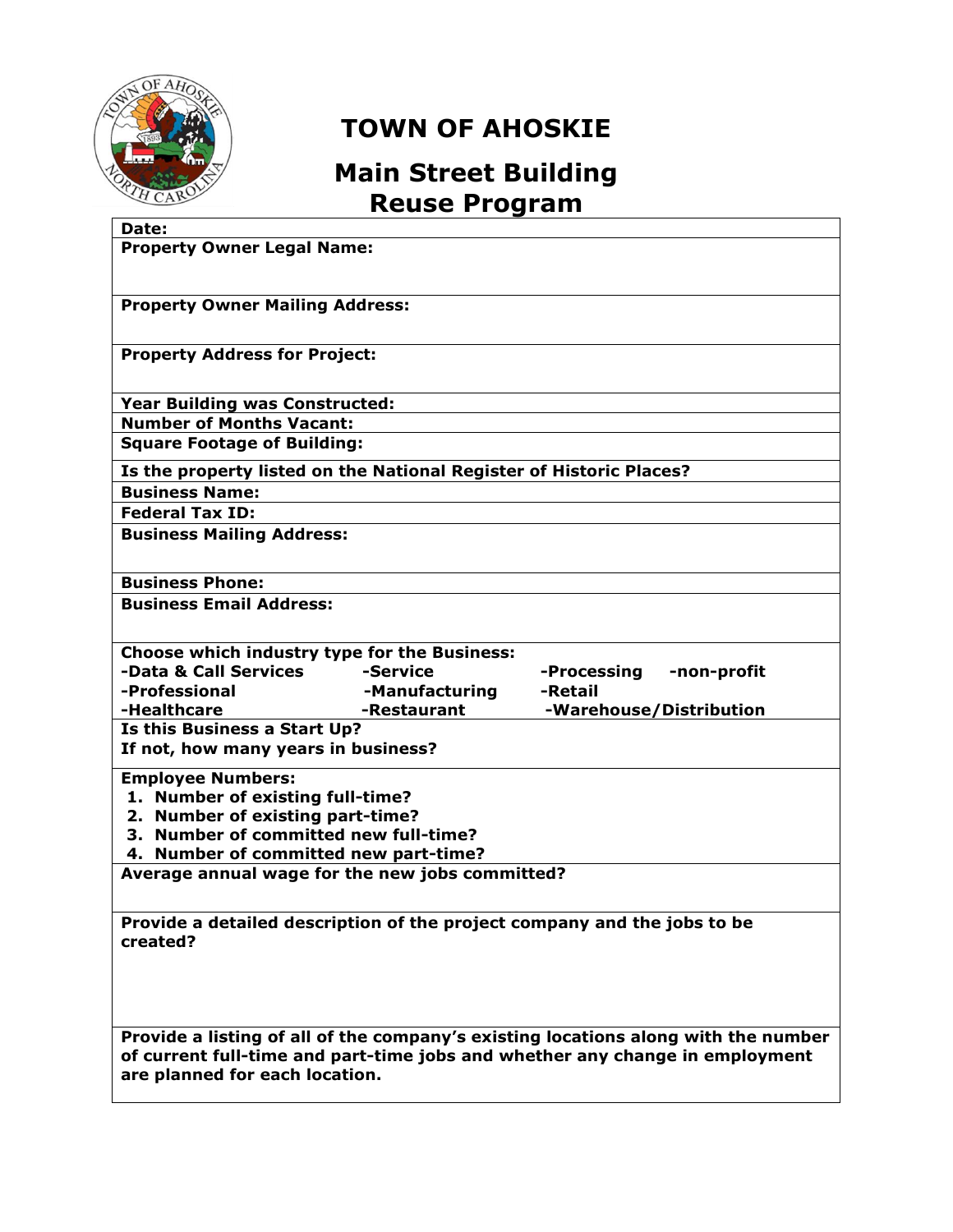

## **TOWN OF AHOSKIE**

## **Main Street Building Reuse Program**

| Date:                                                                                                                                                                                                |  |  |  |
|------------------------------------------------------------------------------------------------------------------------------------------------------------------------------------------------------|--|--|--|
| <b>Property Owner Legal Name:</b>                                                                                                                                                                    |  |  |  |
| <b>Property Owner Mailing Address:</b>                                                                                                                                                               |  |  |  |
| <b>Property Address for Project:</b>                                                                                                                                                                 |  |  |  |
| <b>Year Building was Constructed:</b>                                                                                                                                                                |  |  |  |
| <b>Number of Months Vacant:</b>                                                                                                                                                                      |  |  |  |
| <b>Square Footage of Building:</b>                                                                                                                                                                   |  |  |  |
| Is the property listed on the National Register of Historic Places?                                                                                                                                  |  |  |  |
| <b>Business Name:</b>                                                                                                                                                                                |  |  |  |
| <b>Federal Tax ID:</b>                                                                                                                                                                               |  |  |  |
| <b>Business Mailing Address:</b>                                                                                                                                                                     |  |  |  |
| <b>Business Phone:</b>                                                                                                                                                                               |  |  |  |
| <b>Business Email Address:</b>                                                                                                                                                                       |  |  |  |
| Choose which industry type for the Business:                                                                                                                                                         |  |  |  |
| -Data & Call Services<br>-Service<br>-Processing<br>-non-profit                                                                                                                                      |  |  |  |
| -Professional<br>-Manufacturing<br>-Retail                                                                                                                                                           |  |  |  |
| -Restaurant<br>-Healthcare<br>-Warehouse/Distribution<br>Is this Business a Start Up?                                                                                                                |  |  |  |
| If not, how many years in business?                                                                                                                                                                  |  |  |  |
| <b>Employee Numbers:</b>                                                                                                                                                                             |  |  |  |
| 1. Number of existing full-time?                                                                                                                                                                     |  |  |  |
| 2. Number of existing part-time?<br>3. Number of committed new full-time?                                                                                                                            |  |  |  |
| 4. Number of committed new part-time?                                                                                                                                                                |  |  |  |
| Average annual wage for the new jobs committed?                                                                                                                                                      |  |  |  |
|                                                                                                                                                                                                      |  |  |  |
| Provide a detailed description of the project company and the jobs to be<br>created?                                                                                                                 |  |  |  |
|                                                                                                                                                                                                      |  |  |  |
| Provide a listing of all of the company's existing locations along with the number<br>of current full-time and part-time jobs and whether any change in employment<br>are planned for each location. |  |  |  |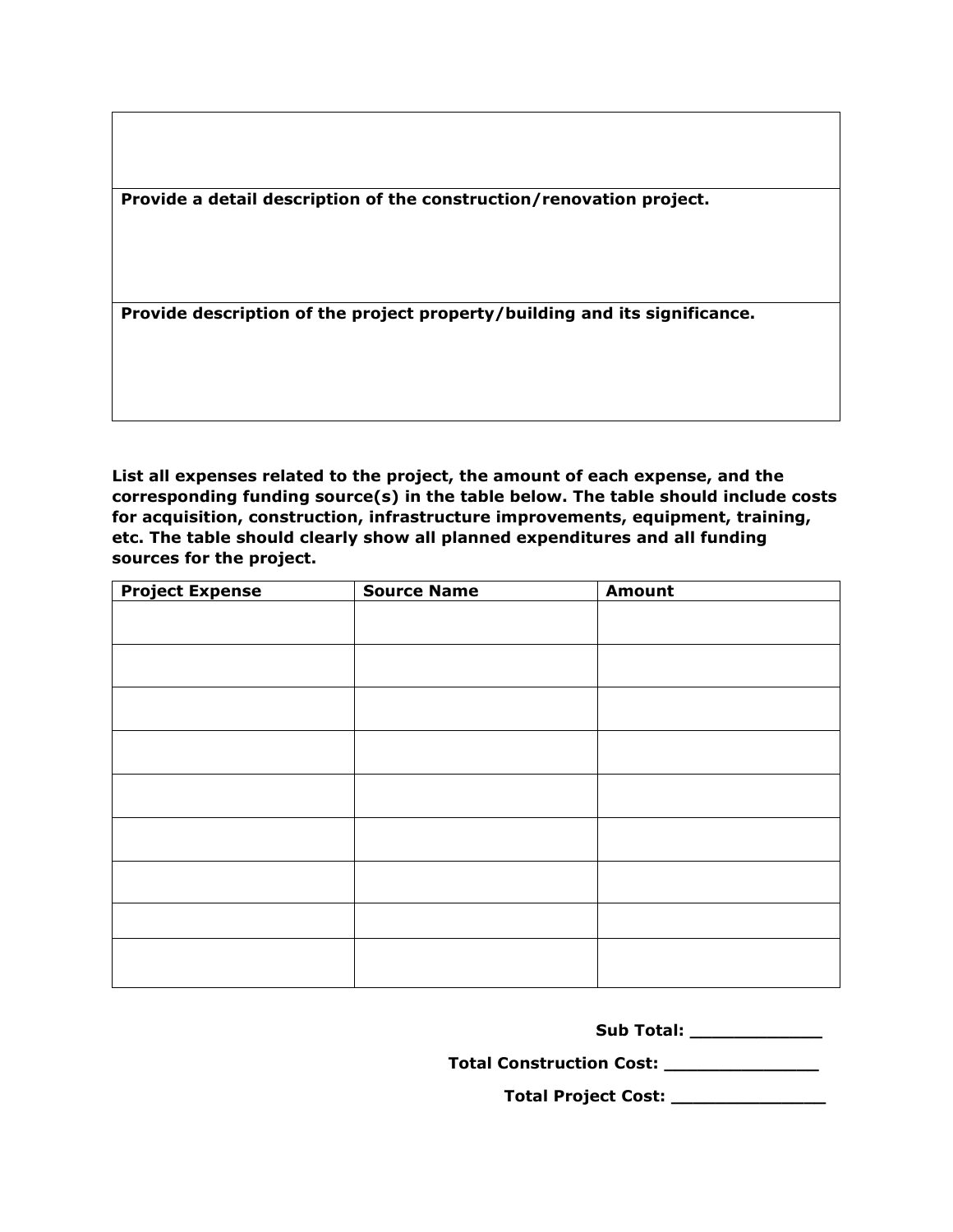**Provide a detail description of the construction/renovation project.**

**Provide description of the project property/building and its significance.**

**List all expenses related to the project, the amount of each expense, and the corresponding funding source(s) in the table below. The table should include costs for acquisition, construction, infrastructure improvements, equipment, training, etc. The table should clearly show all planned expenditures and all funding sources for the project.** 

| <b>Project Expense</b> | <b>Source Name</b> | <b>Amount</b> |
|------------------------|--------------------|---------------|
|                        |                    |               |
|                        |                    |               |
|                        |                    |               |
|                        |                    |               |
|                        |                    |               |
|                        |                    |               |
|                        |                    |               |
|                        |                    |               |
|                        |                    |               |
|                        |                    |               |
|                        |                    |               |
|                        |                    |               |
|                        |                    |               |
|                        |                    |               |
|                        |                    |               |
|                        |                    |               |

**Total Construction Cost: \_\_\_\_\_\_\_\_\_\_\_\_\_\_**

**Total Project Cost: \_\_\_\_\_\_\_\_\_\_\_\_\_\_**